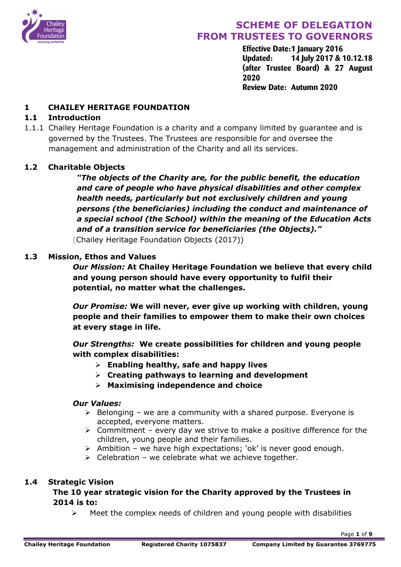

**Effective Date:1 January 2016 Updated: 14 July 2017 & 10.12.18 (after Trustee Board) & 27 August 2020 Review Date: Autumn 2020**

### **1 CHAILEY HERITAGE FOUNDATION**

### **1.1 Introduction**

1.1.1 Chailey Heritage Foundation is a charity and a company limited by guarantee and is governed by the Trustees. The Trustees are responsible for and oversee the management and administration of the Charity and all its services.

### **1.2 Charitable Objects**

*"The objects of the Charity are, for the public benefit, the education and care of people who have physical disabilities and other complex health needs, particularly but not exclusively children and young persons (the beneficiaries) including the conduct and maintenance of a special school (the School) within the meaning of the Education Acts and of a transition service for beneficiaries (the Objects)."* (Chailey Heritage Foundation Objects (2017))

#### **1.3 Mission, Ethos and Values**

*Our Mission:* **At Chailey Heritage Foundation we believe that every child and young person should have every opportunity to fulfil their potential, no matter what the challenges.**

*Our Promise:* **We will never, ever give up working with children, young people and their families to empower them to make their own choices at every stage in life.**

*Our Strengths:* **We create possibilities for children and young people with complex disabilities:** 

- Ø **Enabling healthy, safe and happy lives**
- Ø **Creating pathways to learning and development**
- Ø **Maximising independence and choice**

#### *Our Values:*

- $\triangleright$  Belonging we are a community with a shared purpose. Everyone is accepted, everyone matters.
- $\triangleright$  Commitment every day we strive to make a positive difference for the children, young people and their families.
- $\triangleright$  Ambition we have high expectations; 'ok' is never good enough.
- $\triangleright$  Celebration we celebrate what we achieve together.

#### **1.4 Strategic Vision**

**The 10 year strategic vision for the Charity approved by the Trustees in 2014 is to:**

 $\triangleright$  Meet the complex needs of children and young people with disabilities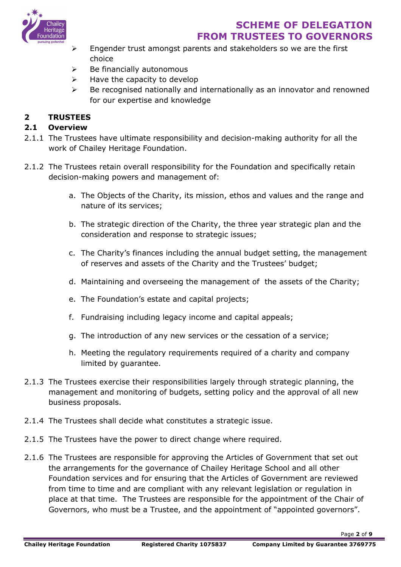

- $\triangleright$  Engender trust amongst parents and stakeholders so we are the first choice
- $\triangleright$  Be financially autonomous
- $\triangleright$  Have the capacity to develop
- $\triangleright$  Be recognised nationally and internationally as an innovator and renowned for our expertise and knowledge

### **2 TRUSTEES**

#### **2.1 Overview**

- 2.1.1 The Trustees have ultimate responsibility and decision-making authority for all the work of Chailey Heritage Foundation.
- 2.1.2 The Trustees retain overall responsibility for the Foundation and specifically retain decision-making powers and management of:
	- a. The Objects of the Charity, its mission, ethos and values and the range and nature of its services;
	- b. The strategic direction of the Charity, the three year strategic plan and the consideration and response to strategic issues;
	- c. The Charity's finances including the annual budget setting, the management of reserves and assets of the Charity and the Trustees' budget;
	- d. Maintaining and overseeing the management of the assets of the Charity;
	- e. The Foundation's estate and capital projects;
	- f. Fundraising including legacy income and capital appeals;
	- g. The introduction of any new services or the cessation of a service;
	- h. Meeting the regulatory requirements required of a charity and company limited by guarantee.
- 2.1.3 The Trustees exercise their responsibilities largely through strategic planning, the management and monitoring of budgets, setting policy and the approval of all new business proposals.
- 2.1.4 The Trustees shall decide what constitutes a strategic issue.
- 2.1.5 The Trustees have the power to direct change where required.
- 2.1.6 The Trustees are responsible for approving the Articles of Government that set out the arrangements for the governance of Chailey Heritage School and all other Foundation services and for ensuring that the Articles of Government are reviewed from time to time and are compliant with any relevant legislation or regulation in place at that time. The Trustees are responsible for the appointment of the Chair of Governors, who must be a Trustee, and the appointment of "appointed governors".

Page **2** of **9**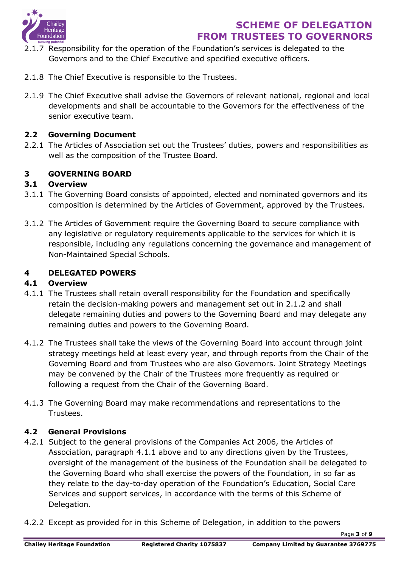

- 2.1.7 Responsibility for the operation of the Foundation's services is delegated to the Governors and to the Chief Executive and specified executive officers.
- 2.1.8 The Chief Executive is responsible to the Trustees.
- 2.1.9 The Chief Executive shall advise the Governors of relevant national, regional and local developments and shall be accountable to the Governors for the effectiveness of the senior executive team.

### **2.2 Governing Document**

2.2.1 The Articles of Association set out the Trustees' duties, powers and responsibilities as well as the composition of the Trustee Board.

### **3 GOVERNING BOARD**

### **3.1 Overview**

- 3.1.1 The Governing Board consists of appointed, elected and nominated governors and its composition is determined by the Articles of Government, approved by the Trustees.
- 3.1.2 The Articles of Government require the Governing Board to secure compliance with any legislative or regulatory requirements applicable to the services for which it is responsible, including any regulations concerning the governance and management of Non-Maintained Special Schools.

### **4 DELEGATED POWERS**

#### **4.1 Overview**

- 4.1.1 The Trustees shall retain overall responsibility for the Foundation and specifically retain the decision-making powers and management set out in 2.1.2 and shall delegate remaining duties and powers to the Governing Board and may delegate any remaining duties and powers to the Governing Board.
- 4.1.2 The Trustees shall take the views of the Governing Board into account through joint strategy meetings held at least every year, and through reports from the Chair of the Governing Board and from Trustees who are also Governors. Joint Strategy Meetings may be convened by the Chair of the Trustees more frequently as required or following a request from the Chair of the Governing Board.
- 4.1.3 The Governing Board may make recommendations and representations to the Trustees.

### **4.2 General Provisions**

- 4.2.1 Subject to the general provisions of the Companies Act 2006, the Articles of Association, paragraph 4.1.1 above and to any directions given by the Trustees, oversight of the management of the business of the Foundation shall be delegated to the Governing Board who shall exercise the powers of the Foundation, in so far as they relate to the day-to-day operation of the Foundation's Education, Social Care Services and support services, in accordance with the terms of this Scheme of Delegation.
- 4.2.2 Except as provided for in this Scheme of Delegation, in addition to the powers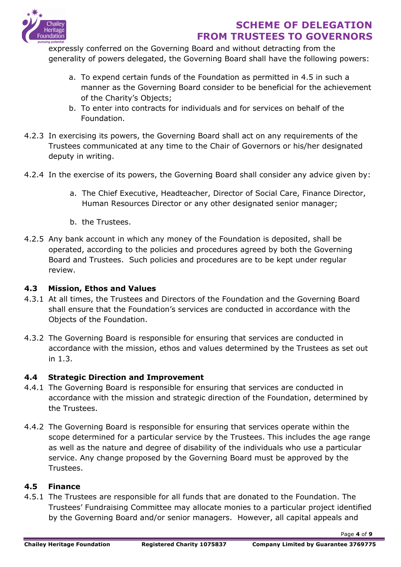

expressly conferred on the Governing Board and without detracting from the generality of powers delegated, the Governing Board shall have the following powers:

- a. To expend certain funds of the Foundation as permitted in 4.5 in such a manner as the Governing Board consider to be beneficial for the achievement of the Charity's Objects;
- b. To enter into contracts for individuals and for services on behalf of the Foundation.
- 4.2.3 In exercising its powers, the Governing Board shall act on any requirements of the Trustees communicated at any time to the Chair of Governors or his/her designated deputy in writing.
- 4.2.4 In the exercise of its powers, the Governing Board shall consider any advice given by:
	- a. The Chief Executive, Headteacher, Director of Social Care, Finance Director, Human Resources Director or any other designated senior manager;
	- b. the Trustees.
- 4.2.5 Any bank account in which any money of the Foundation is deposited, shall be operated, according to the policies and procedures agreed by both the Governing Board and Trustees. Such policies and procedures are to be kept under regular review.

### **4.3 Mission, Ethos and Values**

- 4.3.1 At all times, the Trustees and Directors of the Foundation and the Governing Board shall ensure that the Foundation's services are conducted in accordance with the Objects of the Foundation.
- 4.3.2 The Governing Board is responsible for ensuring that services are conducted in accordance with the mission, ethos and values determined by the Trustees as set out in 1.3.

## **4.4 Strategic Direction and Improvement**

- 4.4.1 The Governing Board is responsible for ensuring that services are conducted in accordance with the mission and strategic direction of the Foundation, determined by the Trustees.
- 4.4.2 The Governing Board is responsible for ensuring that services operate within the scope determined for a particular service by the Trustees. This includes the age range as well as the nature and degree of disability of the individuals who use a particular service. Any change proposed by the Governing Board must be approved by the Trustees.

### **4.5 Finance**

4.5.1 The Trustees are responsible for all funds that are donated to the Foundation. The Trustees' Fundraising Committee may allocate monies to a particular project identified by the Governing Board and/or senior managers. However, all capital appeals and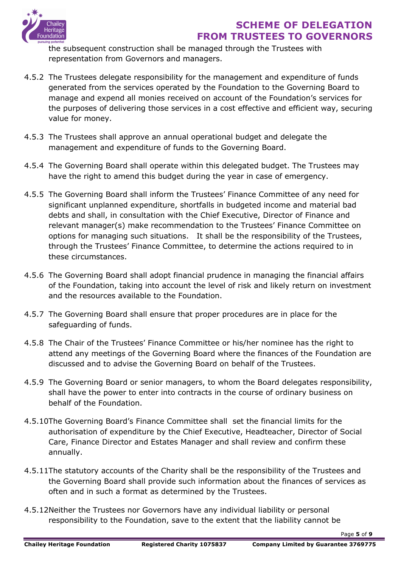

the subsequent construction shall be managed through the Trustees with representation from Governors and managers.

- 4.5.2 The Trustees delegate responsibility for the management and expenditure of funds generated from the services operated by the Foundation to the Governing Board to manage and expend all monies received on account of the Foundation's services for the purposes of delivering those services in a cost effective and efficient way, securing value for money.
- 4.5.3 The Trustees shall approve an annual operational budget and delegate the management and expenditure of funds to the Governing Board.
- 4.5.4 The Governing Board shall operate within this delegated budget. The Trustees may have the right to amend this budget during the year in case of emergency.
- 4.5.5 The Governing Board shall inform the Trustees' Finance Committee of any need for significant unplanned expenditure, shortfalls in budgeted income and material bad debts and shall, in consultation with the Chief Executive, Director of Finance and relevant manager(s) make recommendation to the Trustees' Finance Committee on options for managing such situations. It shall be the responsibility of the Trustees, through the Trustees' Finance Committee, to determine the actions required to in these circumstances.
- 4.5.6 The Governing Board shall adopt financial prudence in managing the financial affairs of the Foundation, taking into account the level of risk and likely return on investment and the resources available to the Foundation.
- 4.5.7 The Governing Board shall ensure that proper procedures are in place for the safeguarding of funds.
- 4.5.8 The Chair of the Trustees' Finance Committee or his/her nominee has the right to attend any meetings of the Governing Board where the finances of the Foundation are discussed and to advise the Governing Board on behalf of the Trustees.
- 4.5.9 The Governing Board or senior managers, to whom the Board delegates responsibility, shall have the power to enter into contracts in the course of ordinary business on behalf of the Foundation.
- 4.5.10The Governing Board's Finance Committee shall set the financial limits for the authorisation of expenditure by the Chief Executive, Headteacher, Director of Social Care, Finance Director and Estates Manager and shall review and confirm these annually.
- 4.5.11The statutory accounts of the Charity shall be the responsibility of the Trustees and the Governing Board shall provide such information about the finances of services as often and in such a format as determined by the Trustees.
- 4.5.12Neither the Trustees nor Governors have any individual liability or personal responsibility to the Foundation, save to the extent that the liability cannot be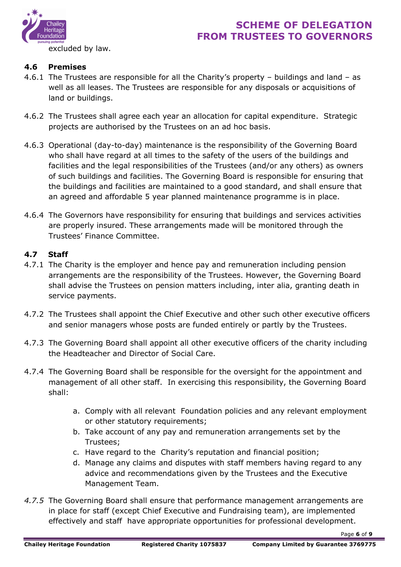

excluded by law.

### **4.6 Premises**

- 4.6.1 The Trustees are responsible for all the Charity's property buildings and land as well as all leases. The Trustees are responsible for any disposals or acquisitions of land or buildings.
- 4.6.2 The Trustees shall agree each year an allocation for capital expenditure. Strategic projects are authorised by the Trustees on an ad hoc basis.
- 4.6.3 Operational (day-to-day) maintenance is the responsibility of the Governing Board who shall have regard at all times to the safety of the users of the buildings and facilities and the legal responsibilities of the Trustees (and/or any others) as owners of such buildings and facilities. The Governing Board is responsible for ensuring that the buildings and facilities are maintained to a good standard, and shall ensure that an agreed and affordable 5 year planned maintenance programme is in place.
- 4.6.4 The Governors have responsibility for ensuring that buildings and services activities are properly insured. These arrangements made will be monitored through the Trustees' Finance Committee.

### **4.7 Staff**

- 4.7.1 The Charity is the employer and hence pay and remuneration including pension arrangements are the responsibility of the Trustees. However, the Governing Board shall advise the Trustees on pension matters including, inter alia, granting death in service payments.
- 4.7.2 The Trustees shall appoint the Chief Executive and other such other executive officers and senior managers whose posts are funded entirely or partly by the Trustees.
- 4.7.3 The Governing Board shall appoint all other executive officers of the charity including the Headteacher and Director of Social Care.
- 4.7.4 The Governing Board shall be responsible for the oversight for the appointment and management of all other staff. In exercising this responsibility, the Governing Board shall:
	- a. Comply with all relevant Foundation policies and any relevant employment or other statutory requirements;
	- b. Take account of any pay and remuneration arrangements set by the Trustees;
	- c. Have regard to the Charity's reputation and financial position;
	- d. Manage any claims and disputes with staff members having regard to any advice and recommendations given by the Trustees and the Executive Management Team.
- *4.7.5* The Governing Board shall ensure that performance management arrangements are in place for staff (except Chief Executive and Fundraising team), are implemented effectively and staff have appropriate opportunities for professional development.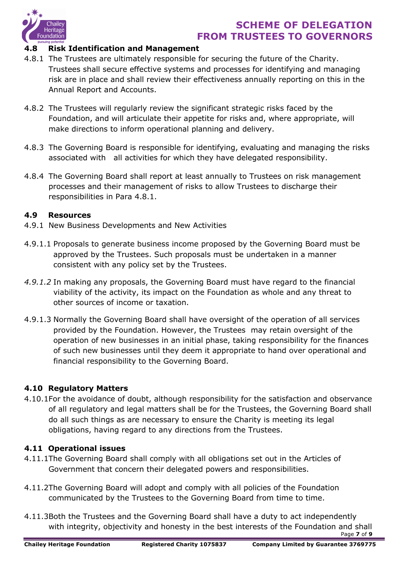

#### **4.8 Risk Identification and Management**

- 4.8.1 The Trustees are ultimately responsible for securing the future of the Charity. Trustees shall secure effective systems and processes for identifying and managing risk are in place and shall review their effectiveness annually reporting on this in the Annual Report and Accounts.
- 4.8.2 The Trustees will regularly review the significant strategic risks faced by the Foundation, and will articulate their appetite for risks and, where appropriate, will make directions to inform operational planning and delivery.
- 4.8.3 The Governing Board is responsible for identifying, evaluating and managing the risks associated with all activities for which they have delegated responsibility.
- 4.8.4 The Governing Board shall report at least annually to Trustees on risk management processes and their management of risks to allow Trustees to discharge their responsibilities in Para 4.8.1.

#### **4.9 Resources**

- 4.9.1 New Business Developments and New Activities
- 4.9.1.1 Proposals to generate business income proposed by the Governing Board must be approved by the Trustees. Such proposals must be undertaken in a manner consistent with any policy set by the Trustees.
- *4.9.1.2* In making any proposals, the Governing Board must have regard to the financial viability of the activity, its impact on the Foundation as whole and any threat to other sources of income or taxation.
- 4.9.1.3 Normally the Governing Board shall have oversight of the operation of all services provided by the Foundation. However, the Trustees may retain oversight of the operation of new businesses in an initial phase, taking responsibility for the finances of such new businesses until they deem it appropriate to hand over operational and financial responsibility to the Governing Board.

#### **4.10 Regulatory Matters**

4.10.1For the avoidance of doubt, although responsibility for the satisfaction and observance of all regulatory and legal matters shall be for the Trustees, the Governing Board shall do all such things as are necessary to ensure the Charity is meeting its legal obligations, having regard to any directions from the Trustees.

#### **4.11 Operational issues**

- 4.11.1The Governing Board shall comply with all obligations set out in the Articles of Government that concern their delegated powers and responsibilities.
- 4.11.2The Governing Board will adopt and comply with all policies of the Foundation communicated by the Trustees to the Governing Board from time to time.
- 4.11.3Both the Trustees and the Governing Board shall have a duty to act independently with integrity, objectivity and honesty in the best interests of the Foundation and shall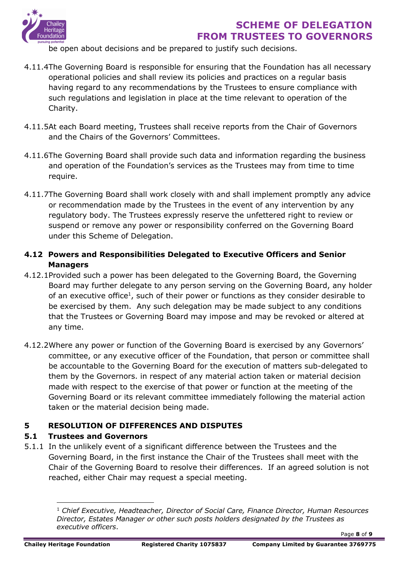

be open about decisions and be prepared to justify such decisions.

- 4.11.4The Governing Board is responsible for ensuring that the Foundation has all necessary operational policies and shall review its policies and practices on a regular basis having regard to any recommendations by the Trustees to ensure compliance with such regulations and legislation in place at the time relevant to operation of the Charity.
- 4.11.5At each Board meeting, Trustees shall receive reports from the Chair of Governors and the Chairs of the Governors' Committees.
- 4.11.6The Governing Board shall provide such data and information regarding the business and operation of the Foundation's services as the Trustees may from time to time require.
- 4.11.7The Governing Board shall work closely with and shall implement promptly any advice or recommendation made by the Trustees in the event of any intervention by any regulatory body. The Trustees expressly reserve the unfettered right to review or suspend or remove any power or responsibility conferred on the Governing Board under this Scheme of Delegation.
- **4.12 Powers and Responsibilities Delegated to Executive Officers and Senior Managers**
- 4.12.1Provided such a power has been delegated to the Governing Board, the Governing Board may further delegate to any person serving on the Governing Board, any holder of an executive office<sup>1</sup>, such of their power or functions as they consider desirable to be exercised by them. Any such delegation may be made subject to any conditions that the Trustees or Governing Board may impose and may be revoked or altered at any time.
- 4.12.2Where any power or function of the Governing Board is exercised by any Governors' committee, or any executive officer of the Foundation, that person or committee shall be accountable to the Governing Board for the execution of matters sub-delegated to them by the Governors. in respect of any material action taken or material decision made with respect to the exercise of that power or function at the meeting of the Governing Board or its relevant committee immediately following the material action taken or the material decision being made.

## **5 RESOLUTION OF DIFFERENCES AND DISPUTES**

### **5.1 Trustees and Governors**

5.1.1 In the unlikely event of a significant difference between the Trustees and the Governing Board, in the first instance the Chair of the Trustees shall meet with the Chair of the Governing Board to resolve their differences. If an agreed solution is not reached, either Chair may request a special meeting.

<sup>1</sup> *Chief Executive, Headteacher, Director of Social Care, Finance Director, Human Resources Director, Estates Manager or other such posts holders designated by the Trustees as executive officers*.